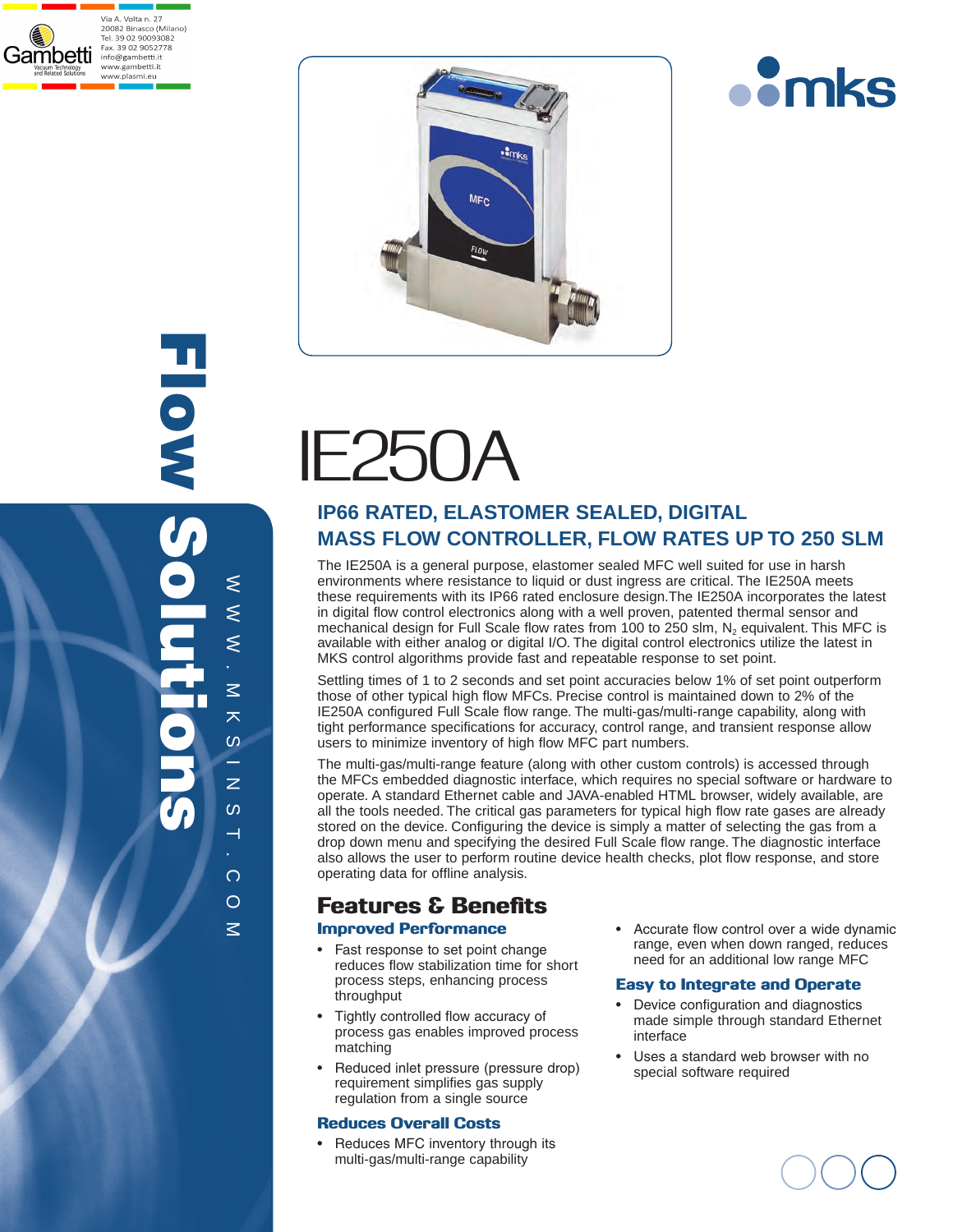





com



# IE250A

## **IP66 RATED, ELASTOMER SEALED, DIGITAL MASS FLOW CONTROLLER, FLOW RATES UP TO 250 SLM**

The IE250A is a general purpose, elastomer sealed MFC well suited for use in harsh environments where resistance to liquid or dust ingress are critical. The IE250A meets these requirements with its IP66 rated enclosure design.The IE250A incorporates the latest in digital flow control electronics along with a well proven, patented thermal sensor and mechanical design for Full Scale flow rates from 100 to 250 slm, N<sub>2</sub> equivalent. This MFC is available with either analog or digital I/O. The digital control electronics utilize the latest in MKS control algorithms provide fast and repeatable response to set point.

Settling times of 1 to 2 seconds and set point accuracies below 1% of set point outperform those of other typical high flow MFCs. Precise control is maintained down to 2% of the IE250A configured Full Scale flow range. The multi-gas/multi-range capability, along with tight performance specifications for accuracy, control range, and transient response allow users to minimize inventory of high flow MFC part numbers.

The multi-gas/multi-range feature (along with other custom controls) is accessed through the MFCs embedded diagnostic interface, which requires no special software or hardware to operate. A standard Ethernet cable and JAVA-enabled HTML browser, widely available, are all the tools needed. The critical gas parameters for typical high flow rate gases are already stored on the device. Configuring the device is simply a matter of selecting the gas from a drop down menu and specifying the desired Full Scale flow range. The diagnostic interface also allows the user to perform routine device health checks, plot flow response, and store operating data for offline analysis.

## Features & Benefits

#### Improved Performance

- Fast response to set point change reduces flow stabilization time for short process steps, enhancing process throughput
- Tightly controlled flow accuracy of process gas enables improved process matching
- Reduced inlet pressure (pressure drop) requirement simplifies gas supply regulation from a single source

#### Reduces Overall Costs

• Reduces MFC inventory through its multi-gas/multi-range capability

• Accurate flow control over a wide dynamic range, even when down ranged, reduces need for an additional low range MFC

#### Easy to Integrate and Operate

- Device configuration and diagnostics made simple through standard Ethernet interface
- Uses a standard web browser with no special software required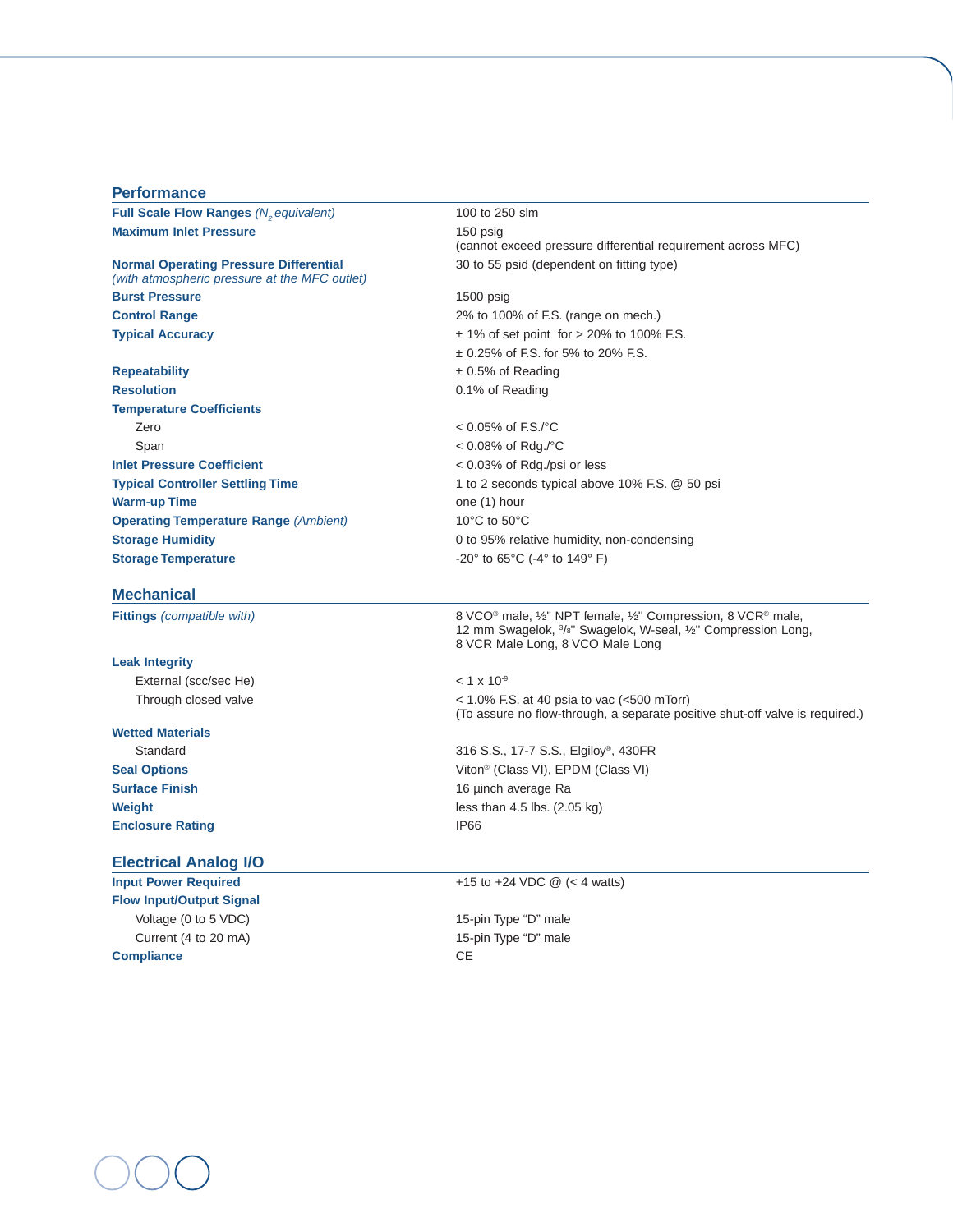#### **Performance**

**Full Scale Flow Ranges** *(N<sub>2</sub> equivalent)* 100 to 250 slm<br> **Maximum Inlet Pressure** 150 psig **Maximum Inlet Pressure** 

## *(with atmospheric pressure at the MFC outlet)* **Burst Pressure** 1500 psig **Control Range** 2% to 100% of F.S. (range on mech.)

**Resolution 0.1% of Reading Temperature Coefficients** Zero< 0.05% of F.S./°C Span< 0.08% of Rdg./°C **Inlet Pressure Coefficient** < 0.03% of Rdg./psi or less **Warm-up Time** one (1) hour **Operating Temperature Range** *(Ambient)*10°C to 50°C **Storage Temperature**  $-20^{\circ}$  to  $65^{\circ}$ C  $(-4^{\circ}$  to  $149^{\circ}$  F)

#### **Mechanical**

#### **Leak Integrity**

External (scc/sec He)  $\leq 1 \times 10^{-9}$ 

## **Wetted Materials Enclosure Rating 1966**

#### **Electrical Analog I/O**

**Flow Input/Output Signal**  Voltage (0 to 5 VDC) 15-pin Type "D" male Current (4 to 20 mA) 15-pin Type "D" male **Compliance** CE

(cannot exceed pressure differential requirement across MFC) **Normal Operating Pressure Differential <b>30** to 55 psid (dependent on fitting type)

**Typical Accuracy EXECUTE:**  $\pm$  1% of set point for > 20% to 100% F.S. ± 0.25% of F.S. for 5% to 20% F.S. **Repeatability** ± 0.5% of Reading

**Typical Controller Settling Time** 1 to 2 seconds typical above 10% F.S. @ 50 psi **Storage Humidity Storage Humidity Conserversion D** to 95% relative humidity, non-condensing

**Fittings** *(compatible with)*8 VCO® male, ½'' NPT female, ½'' Compression, 8 VCR® male, 12 mm Swagelok, 3 /8'' Swagelok, W-seal, ½'' Compression Long, 8 VCR Male Long, 8 VCO Male Long

Through closed valve< 1.0% F.S. at 40 psia to vac (<500 mTorr) (To assure no flow-through, a separate positive shut-off valve is required.)

Standard316 S.S., 17-7 S.S., Elgiloy®, 430FR **Seal Options** Viton<sup>®</sup> (Class VI), EPDM (Class VI) **Surface Finish** 16 µinch average Ra **Weight less than 4.5 lbs. (2.05 kg)** 

#### **Input Power Required**  $+15$  to  $+24$  VDC @ (< 4 watts)

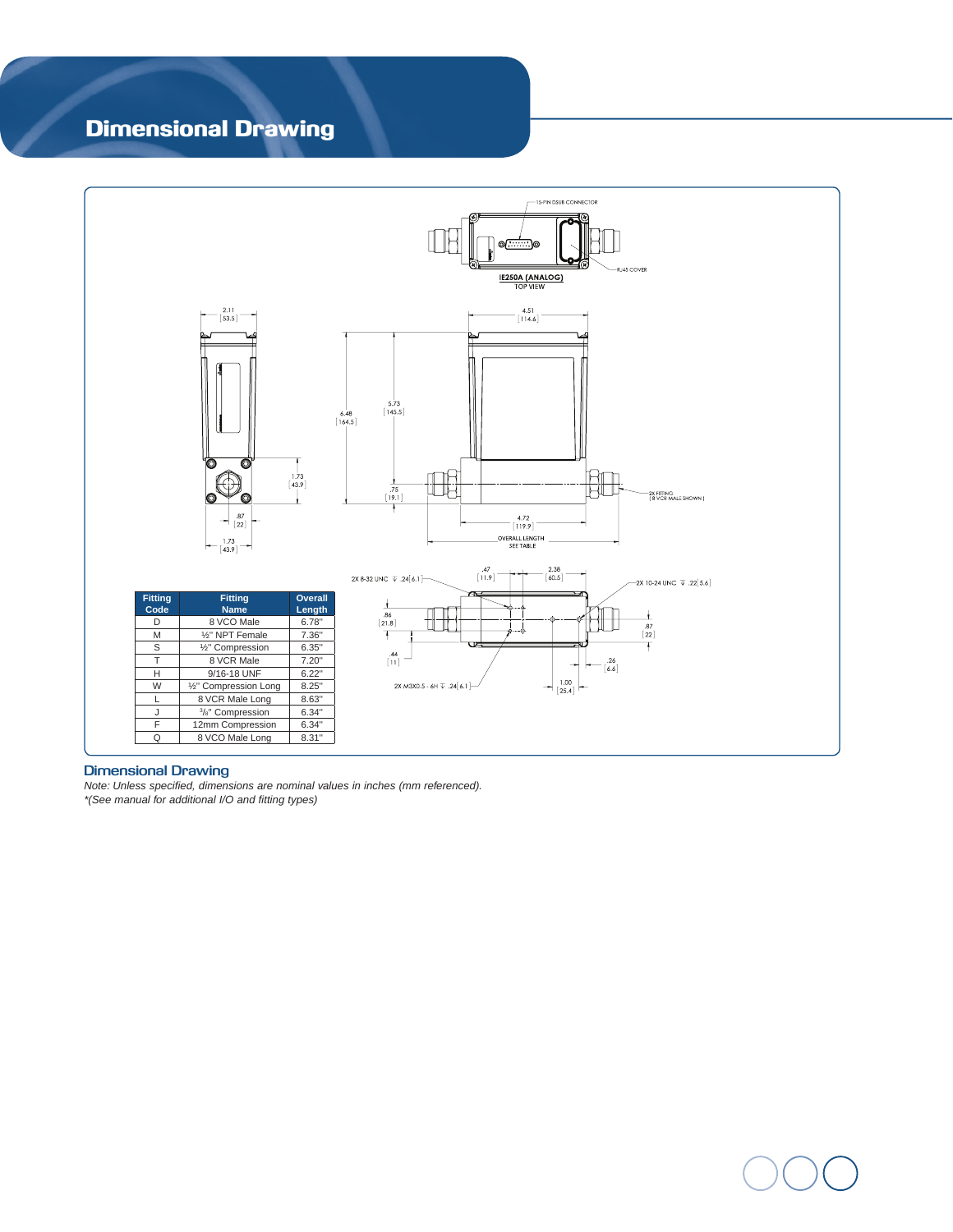## Dimensional Drawing



#### **Dimensional Drawing**

*Note: Unless specified, dimensions are nominal values in inches (mm referenced). \*(See manual for additional I/O and fitting types)*